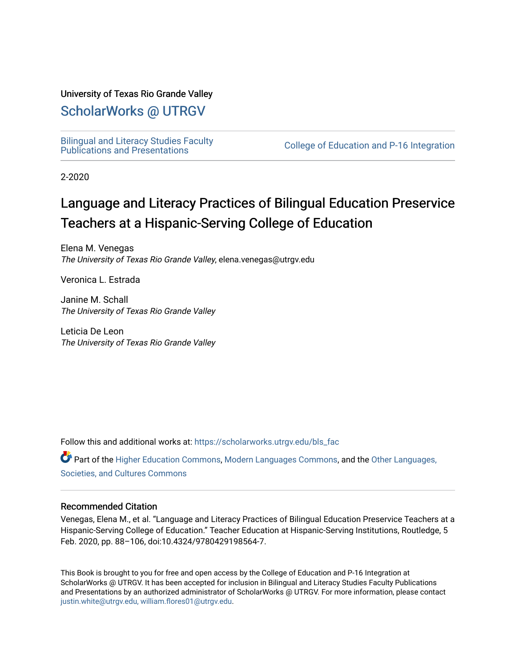# University of Texas Rio Grande Valley

# [ScholarWorks @ UTRGV](https://scholarworks.utrgv.edu/)

[Bilingual and Literacy Studies Faculty](https://scholarworks.utrgv.edu/bls_fac)<br>Publications and Presentations

College of Education and P-16 Integration

2-2020

# Language and Literacy Practices of Bilingual Education Preservice Teachers at a Hispanic-Serving College of Education

Elena M. Venegas The University of Texas Rio Grande Valley, elena.venegas@utrgv.edu

Veronica L. Estrada

Janine M. Schall The University of Texas Rio Grande Valley

Leticia De Leon The University of Texas Rio Grande Valley

Follow this and additional works at: [https://scholarworks.utrgv.edu/bls\\_fac](https://scholarworks.utrgv.edu/bls_fac?utm_source=scholarworks.utrgv.edu%2Fbls_fac%2F14&utm_medium=PDF&utm_campaign=PDFCoverPages) 

Part of the [Higher Education Commons,](http://network.bepress.com/hgg/discipline/1245?utm_source=scholarworks.utrgv.edu%2Fbls_fac%2F14&utm_medium=PDF&utm_campaign=PDFCoverPages) [Modern Languages Commons,](http://network.bepress.com/hgg/discipline/1130?utm_source=scholarworks.utrgv.edu%2Fbls_fac%2F14&utm_medium=PDF&utm_campaign=PDFCoverPages) and the [Other Languages,](http://network.bepress.com/hgg/discipline/475?utm_source=scholarworks.utrgv.edu%2Fbls_fac%2F14&utm_medium=PDF&utm_campaign=PDFCoverPages)  [Societies, and Cultures Commons](http://network.bepress.com/hgg/discipline/475?utm_source=scholarworks.utrgv.edu%2Fbls_fac%2F14&utm_medium=PDF&utm_campaign=PDFCoverPages) 

# Recommended Citation

Venegas, Elena M., et al. "Language and Literacy Practices of Bilingual Education Preservice Teachers at a Hispanic-Serving College of Education." Teacher Education at Hispanic-Serving Institutions, Routledge, 5 Feb. 2020, pp. 88–106, doi:10.4324/9780429198564-7.

This Book is brought to you for free and open access by the College of Education and P-16 Integration at ScholarWorks @ UTRGV. It has been accepted for inclusion in Bilingual and Literacy Studies Faculty Publications and Presentations by an authorized administrator of ScholarWorks @ UTRGV. For more information, please contact [justin.white@utrgv.edu, william.flores01@utrgv.edu](mailto:justin.white@utrgv.edu,%20william.flores01@utrgv.edu).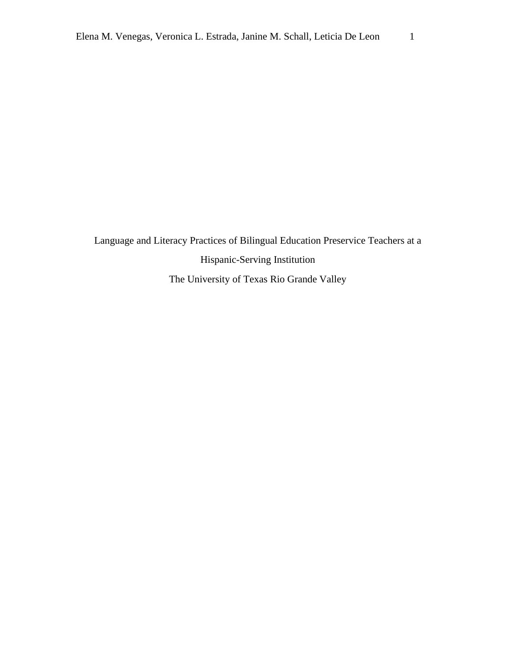Language and Literacy Practices of Bilingual Education Preservice Teachers at a Hispanic-Serving Institution The University of Texas Rio Grande Valley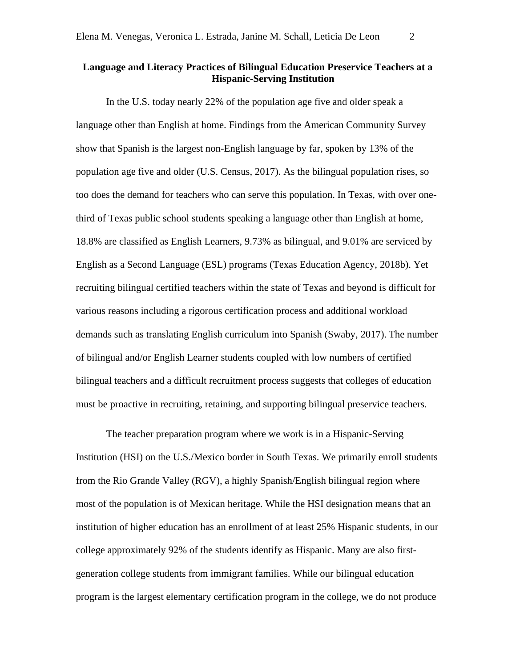# **Language and Literacy Practices of Bilingual Education Preservice Teachers at a Hispanic-Serving Institution**

In the U.S. today nearly 22% of the population age five and older speak a language other than English at home. Findings from the American Community Survey show that Spanish is the largest non-English language by far, spoken by 13% of the population age five and older (U.S. Census, 2017). As the bilingual population rises, so too does the demand for teachers who can serve this population. In Texas, with over onethird of Texas public school students speaking a language other than English at home, 18.8% are classified as English Learners, 9.73% as bilingual, and 9.01% are serviced by English as a Second Language (ESL) programs (Texas Education Agency, 2018b). Yet recruiting bilingual certified teachers within the state of Texas and beyond is difficult for various reasons including a rigorous certification process and additional workload demands such as translating English curriculum into Spanish (Swaby, 2017). The number of bilingual and/or English Learner students coupled with low numbers of certified bilingual teachers and a difficult recruitment process suggests that colleges of education must be proactive in recruiting, retaining, and supporting bilingual preservice teachers.

The teacher preparation program where we work is in a Hispanic-Serving Institution (HSI) on the U.S./Mexico border in South Texas. We primarily enroll students from the Rio Grande Valley (RGV), a highly Spanish/English bilingual region where most of the population is of Mexican heritage. While the HSI designation means that an institution of higher education has an enrollment of at least 25% Hispanic students, in our college approximately 92% of the students identify as Hispanic. Many are also firstgeneration college students from immigrant families. While our bilingual education program is the largest elementary certification program in the college, we do not produce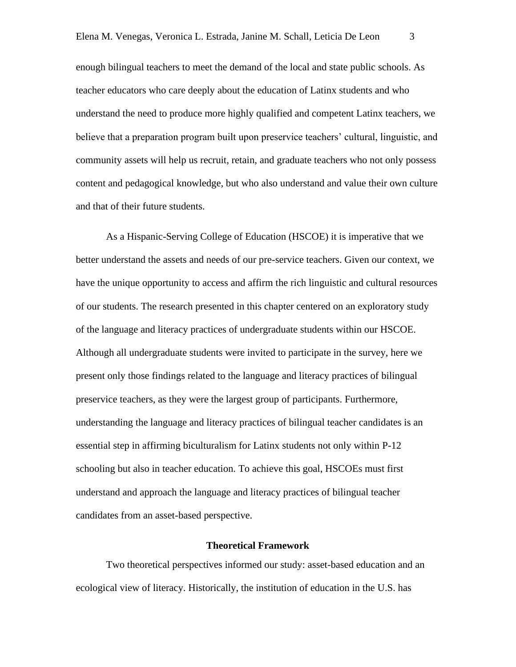enough bilingual teachers to meet the demand of the local and state public schools. As teacher educators who care deeply about the education of Latinx students and who understand the need to produce more highly qualified and competent Latinx teachers, we believe that a preparation program built upon preservice teachers' cultural, linguistic, and community assets will help us recruit, retain, and graduate teachers who not only possess content and pedagogical knowledge, but who also understand and value their own culture and that of their future students.

As a Hispanic-Serving College of Education (HSCOE) it is imperative that we better understand the assets and needs of our pre-service teachers. Given our context, we have the unique opportunity to access and affirm the rich linguistic and cultural resources of our students. The research presented in this chapter centered on an exploratory study of the language and literacy practices of undergraduate students within our HSCOE. Although all undergraduate students were invited to participate in the survey, here we present only those findings related to the language and literacy practices of bilingual preservice teachers, as they were the largest group of participants. Furthermore, understanding the language and literacy practices of bilingual teacher candidates is an essential step in affirming biculturalism for Latinx students not only within P-12 schooling but also in teacher education. To achieve this goal, HSCOEs must first understand and approach the language and literacy practices of bilingual teacher candidates from an asset-based perspective.

#### **Theoretical Framework**

Two theoretical perspectives informed our study: asset-based education and an ecological view of literacy. Historically, the institution of education in the U.S. has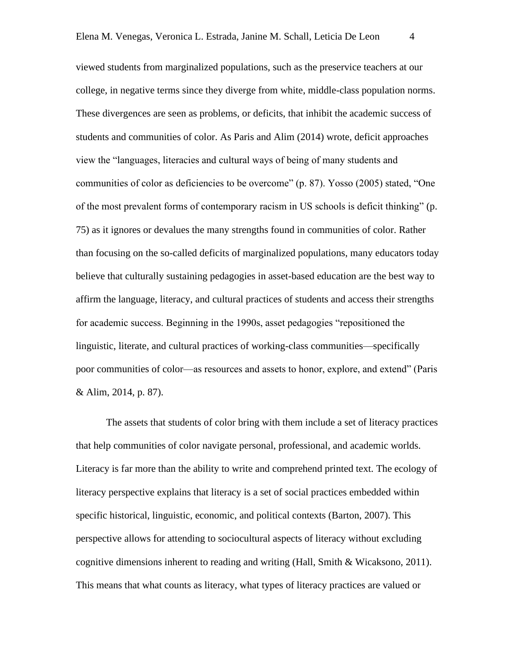viewed students from marginalized populations, such as the preservice teachers at our college, in negative terms since they diverge from white, middle-class population norms. These divergences are seen as problems, or deficits, that inhibit the academic success of students and communities of color. As Paris and Alim (2014) wrote, deficit approaches view the "languages, literacies and cultural ways of being of many students and communities of color as deficiencies to be overcome" (p. 87). Yosso (2005) stated, "One of the most prevalent forms of contemporary racism in US schools is deficit thinking" (p. 75) as it ignores or devalues the many strengths found in communities of color. Rather than focusing on the so-called deficits of marginalized populations, many educators today believe that culturally sustaining pedagogies in asset-based education are the best way to affirm the language, literacy, and cultural practices of students and access their strengths for academic success. Beginning in the 1990s, asset pedagogies "repositioned the linguistic, literate, and cultural practices of working-class communities—specifically poor communities of color—as resources and assets to honor, explore, and extend" (Paris & Alim, 2014, p. 87).

The assets that students of color bring with them include a set of literacy practices that help communities of color navigate personal, professional, and academic worlds. Literacy is far more than the ability to write and comprehend printed text. The ecology of literacy perspective explains that literacy is a set of social practices embedded within specific historical, linguistic, economic, and political contexts (Barton, 2007). This perspective allows for attending to sociocultural aspects of literacy without excluding cognitive dimensions inherent to reading and writing (Hall, Smith & Wicaksono, 2011). This means that what counts as literacy, what types of literacy practices are valued or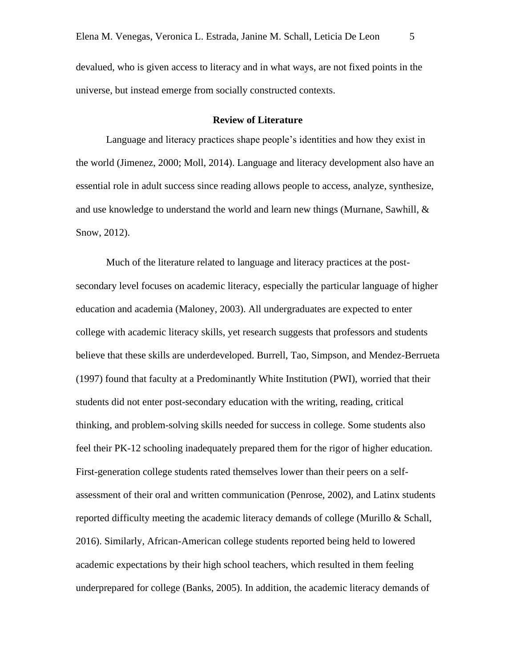devalued, who is given access to literacy and in what ways, are not fixed points in the universe, but instead emerge from socially constructed contexts.

# **Review of Literature**

Language and literacy practices shape people's identities and how they exist in the world (Jimenez, 2000; Moll, 2014). Language and literacy development also have an essential role in adult success since reading allows people to access, analyze, synthesize, and use knowledge to understand the world and learn new things (Murnane, Sawhill,  $\&$ Snow, 2012).

Much of the literature related to language and literacy practices at the postsecondary level focuses on academic literacy, especially the particular language of higher education and academia (Maloney, 2003). All undergraduates are expected to enter college with academic literacy skills, yet research suggests that professors and students believe that these skills are underdeveloped. Burrell, Tao, Simpson, and Mendez-Berrueta (1997) found that faculty at a Predominantly White Institution (PWI), worried that their students did not enter post-secondary education with the writing, reading, critical thinking, and problem-solving skills needed for success in college. Some students also feel their PK-12 schooling inadequately prepared them for the rigor of higher education. First-generation college students rated themselves lower than their peers on a selfassessment of their oral and written communication (Penrose, 2002), and Latinx students reported difficulty meeting the academic literacy demands of college (Murillo & Schall, 2016). Similarly, African-American college students reported being held to lowered academic expectations by their high school teachers, which resulted in them feeling underprepared for college (Banks, 2005). In addition, the academic literacy demands of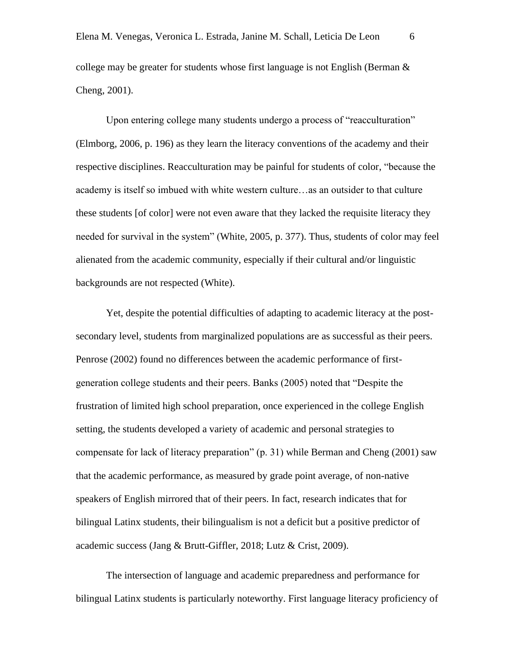college may be greater for students whose first language is not English (Berman  $\&$ Cheng, 2001).

Upon entering college many students undergo a process of "reacculturation" (Elmborg, 2006, p. 196) as they learn the literacy conventions of the academy and their respective disciplines. Reacculturation may be painful for students of color, "because the academy is itself so imbued with white western culture…as an outsider to that culture these students [of color] were not even aware that they lacked the requisite literacy they needed for survival in the system" (White, 2005, p. 377). Thus, students of color may feel alienated from the academic community, especially if their cultural and/or linguistic backgrounds are not respected (White).

Yet, despite the potential difficulties of adapting to academic literacy at the postsecondary level, students from marginalized populations are as successful as their peers. Penrose (2002) found no differences between the academic performance of firstgeneration college students and their peers. Banks (2005) noted that "Despite the frustration of limited high school preparation, once experienced in the college English setting, the students developed a variety of academic and personal strategies to compensate for lack of literacy preparation" (p. 31) while Berman and Cheng (2001) saw that the academic performance, as measured by grade point average, of non-native speakers of English mirrored that of their peers. In fact, research indicates that for bilingual Latinx students, their bilingualism is not a deficit but a positive predictor of academic success (Jang & Brutt-Giffler, 2018; Lutz & Crist, 2009).

 The intersection of language and academic preparedness and performance for bilingual Latinx students is particularly noteworthy. First language literacy proficiency of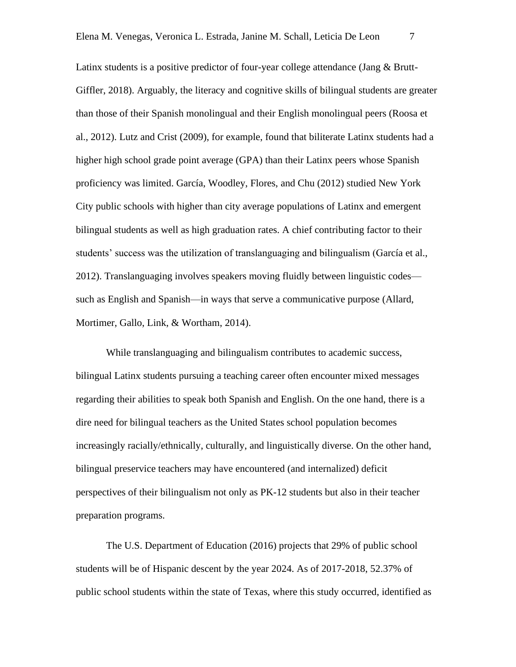Latinx students is a positive predictor of four-year college attendance (Jang & Brutt-Giffler, 2018). Arguably, the literacy and cognitive skills of bilingual students are greater than those of their Spanish monolingual and their English monolingual peers (Roosa et al., 2012). Lutz and Crist (2009), for example, found that biliterate Latinx students had a higher high school grade point average (GPA) than their Latinx peers whose Spanish proficiency was limited. García, Woodley, Flores, and Chu (2012) studied New York City public schools with higher than city average populations of Latinx and emergent bilingual students as well as high graduation rates. A chief contributing factor to their students' success was the utilization of translanguaging and bilingualism (García et al., 2012). Translanguaging involves speakers moving fluidly between linguistic codes such as English and Spanish—in ways that serve a communicative purpose (Allard, Mortimer, Gallo, Link, & Wortham, 2014).

While translanguaging and bilingualism contributes to academic success, bilingual Latinx students pursuing a teaching career often encounter mixed messages regarding their abilities to speak both Spanish and English. On the one hand, there is a dire need for bilingual teachers as the United States school population becomes increasingly racially/ethnically, culturally, and linguistically diverse. On the other hand, bilingual preservice teachers may have encountered (and internalized) deficit perspectives of their bilingualism not only as PK-12 students but also in their teacher preparation programs.

The U.S. Department of Education (2016) projects that 29% of public school students will be of Hispanic descent by the year 2024. As of 2017-2018, 52.37% of public school students within the state of Texas, where this study occurred, identified as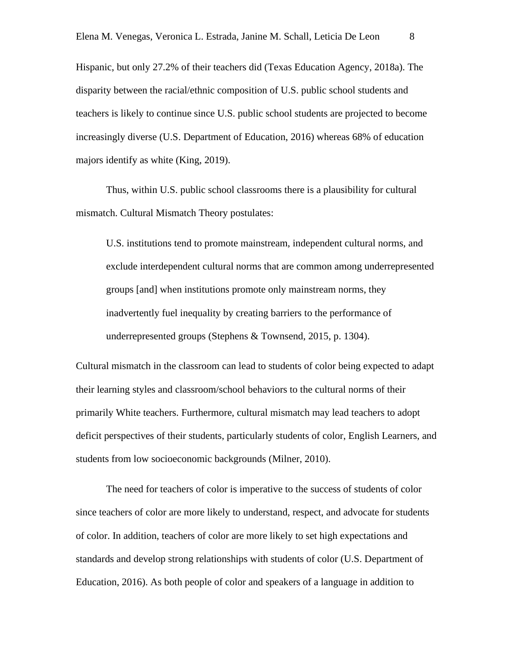Hispanic, but only 27.2% of their teachers did (Texas Education Agency, 2018a). The disparity between the racial/ethnic composition of U.S. public school students and teachers is likely to continue since U.S. public school students are projected to become increasingly diverse (U.S. Department of Education, 2016) whereas 68% of education majors identify as white (King, 2019).

Thus, within U.S. public school classrooms there is a plausibility for cultural mismatch. Cultural Mismatch Theory postulates:

U.S. institutions tend to promote mainstream, independent cultural norms, and exclude interdependent cultural norms that are common among underrepresented groups [and] when institutions promote only mainstream norms, they inadvertently fuel inequality by creating barriers to the performance of underrepresented groups (Stephens & Townsend, 2015, p. 1304).

Cultural mismatch in the classroom can lead to students of color being expected to adapt their learning styles and classroom/school behaviors to the cultural norms of their primarily White teachers. Furthermore, cultural mismatch may lead teachers to adopt deficit perspectives of their students, particularly students of color, English Learners, and students from low socioeconomic backgrounds (Milner, 2010).

The need for teachers of color is imperative to the success of students of color since teachers of color are more likely to understand, respect, and advocate for students of color. In addition, teachers of color are more likely to set high expectations and standards and develop strong relationships with students of color (U.S. Department of Education, 2016). As both people of color and speakers of a language in addition to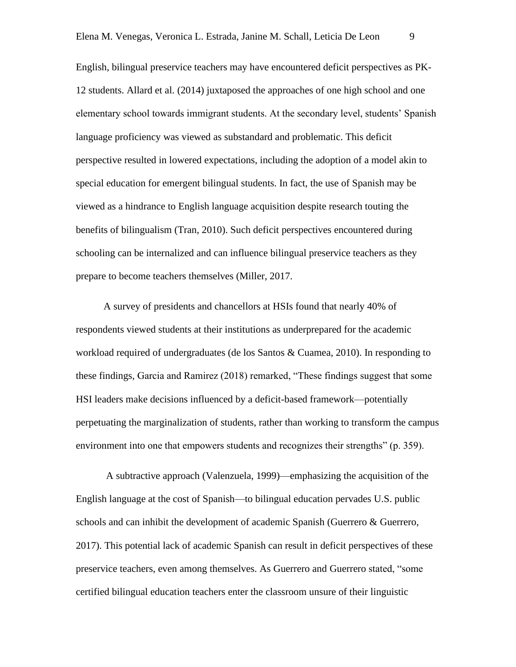English, bilingual preservice teachers may have encountered deficit perspectives as PK-12 students. Allard et al. (2014) juxtaposed the approaches of one high school and one elementary school towards immigrant students. At the secondary level, students' Spanish language proficiency was viewed as substandard and problematic. This deficit perspective resulted in lowered expectations, including the adoption of a model akin to special education for emergent bilingual students. In fact, the use of Spanish may be viewed as a hindrance to English language acquisition despite research touting the benefits of bilingualism (Tran, 2010). Such deficit perspectives encountered during schooling can be internalized and can influence bilingual preservice teachers as they prepare to become teachers themselves (Miller, 2017.

A survey of presidents and chancellors at HSIs found that nearly 40% of respondents viewed students at their institutions as underprepared for the academic workload required of undergraduates (de los Santos & Cuamea, 2010). In responding to these findings, Garcia and Ramirez (2018) remarked, "These findings suggest that some HSI leaders make decisions influenced by a deficit-based framework—potentially perpetuating the marginalization of students, rather than working to transform the campus environment into one that empowers students and recognizes their strengths" (p. 359).

A subtractive approach (Valenzuela, 1999)—emphasizing the acquisition of the English language at the cost of Spanish—to bilingual education pervades U.S. public schools and can inhibit the development of academic Spanish (Guerrero & Guerrero, 2017). This potential lack of academic Spanish can result in deficit perspectives of these preservice teachers, even among themselves. As Guerrero and Guerrero stated, "some certified bilingual education teachers enter the classroom unsure of their linguistic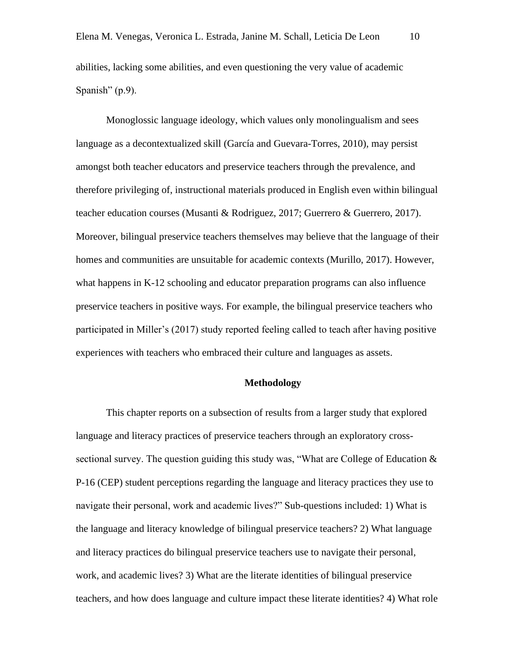abilities, lacking some abilities, and even questioning the very value of academic Spanish" (p.9).

Monoglossic language ideology, which values only monolingualism and sees language as a decontextualized skill (García and Guevara-Torres, 2010), may persist amongst both teacher educators and preservice teachers through the prevalence, and therefore privileging of, instructional materials produced in English even within bilingual teacher education courses (Musanti & Rodriguez, 2017; Guerrero & Guerrero, 2017). Moreover, bilingual preservice teachers themselves may believe that the language of their homes and communities are unsuitable for academic contexts (Murillo, 2017). However, what happens in K-12 schooling and educator preparation programs can also influence preservice teachers in positive ways. For example, the bilingual preservice teachers who participated in Miller's (2017) study reported feeling called to teach after having positive experiences with teachers who embraced their culture and languages as assets.

#### **Methodology**

This chapter reports on a subsection of results from a larger study that explored language and literacy practices of preservice teachers through an exploratory crosssectional survey. The question guiding this study was, "What are College of Education & P-16 (CEP) student perceptions regarding the language and literacy practices they use to navigate their personal, work and academic lives?" Sub-questions included: 1) What is the language and literacy knowledge of bilingual preservice teachers? 2) What language and literacy practices do bilingual preservice teachers use to navigate their personal, work, and academic lives? 3) What are the literate identities of bilingual preservice teachers, and how does language and culture impact these literate identities? 4) What role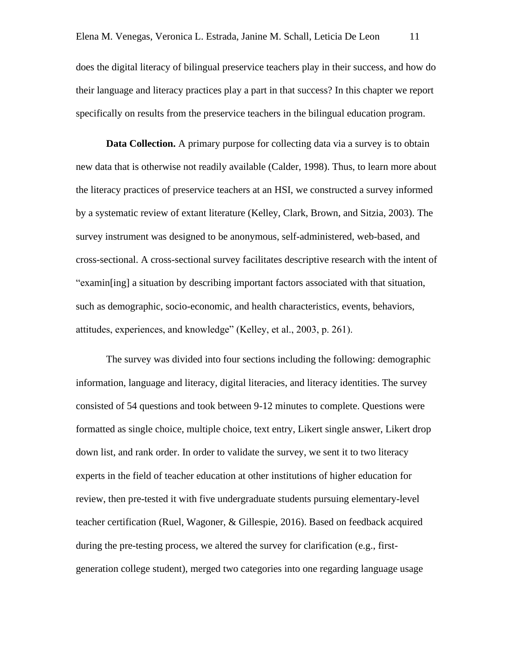does the digital literacy of bilingual preservice teachers play in their success, and how do their language and literacy practices play a part in that success? In this chapter we report specifically on results from the preservice teachers in the bilingual education program.

**Data Collection.** A primary purpose for collecting data via a survey is to obtain new data that is otherwise not readily available (Calder, 1998). Thus, to learn more about the literacy practices of preservice teachers at an HSI, we constructed a survey informed by a systematic review of extant literature (Kelley, Clark, Brown, and Sitzia, 2003). The survey instrument was designed to be anonymous, self-administered, web-based, and cross-sectional. A cross-sectional survey facilitates descriptive research with the intent of "examin[ing] a situation by describing important factors associated with that situation, such as demographic, socio-economic, and health characteristics, events, behaviors, attitudes, experiences, and knowledge" (Kelley, et al., 2003, p. 261).

The survey was divided into four sections including the following: demographic information, language and literacy, digital literacies, and literacy identities. The survey consisted of 54 questions and took between 9-12 minutes to complete. Questions were formatted as single choice, multiple choice, text entry, Likert single answer, Likert drop down list, and rank order. In order to validate the survey, we sent it to two literacy experts in the field of teacher education at other institutions of higher education for review, then pre-tested it with five undergraduate students pursuing elementary-level teacher certification (Ruel, Wagoner, & Gillespie, 2016). Based on feedback acquired during the pre-testing process, we altered the survey for clarification (e.g., firstgeneration college student), merged two categories into one regarding language usage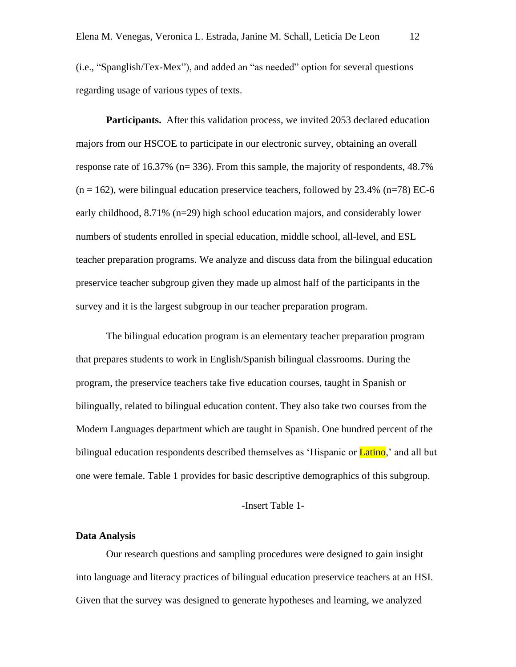(i.e., "Spanglish/Tex-Mex"), and added an "as needed" option for several questions regarding usage of various types of texts.

Participants. After this validation process, we invited 2053 declared education majors from our HSCOE to participate in our electronic survey, obtaining an overall response rate of 16.37% (n= 336). From this sample, the majority of respondents, 48.7%  $(n = 162)$ , were bilingual education preservice teachers, followed by 23.4%  $(n=78)$  EC-6 early childhood, 8.71% (n=29) high school education majors, and considerably lower numbers of students enrolled in special education, middle school, all-level, and ESL teacher preparation programs. We analyze and discuss data from the bilingual education preservice teacher subgroup given they made up almost half of the participants in the survey and it is the largest subgroup in our teacher preparation program.

The bilingual education program is an elementary teacher preparation program that prepares students to work in English/Spanish bilingual classrooms. During the program, the preservice teachers take five education courses, taught in Spanish or bilingually, related to bilingual education content. They also take two courses from the Modern Languages department which are taught in Spanish. One hundred percent of the bilingual education respondents described themselves as 'Hispanic or **Latino**,' and all but one were female. Table 1 provides for basic descriptive demographics of this subgroup.

# -Insert Table 1-

#### **Data Analysis**

Our research questions and sampling procedures were designed to gain insight into language and literacy practices of bilingual education preservice teachers at an HSI. Given that the survey was designed to generate hypotheses and learning, we analyzed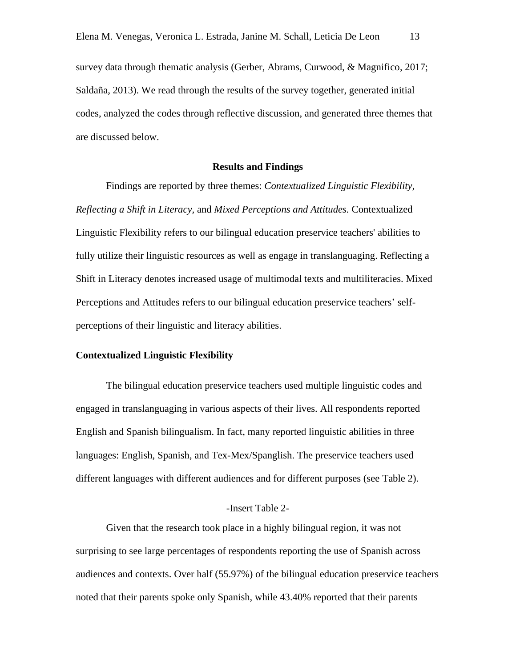survey data through thematic analysis (Gerber, Abrams, Curwood, & Magnifico, 2017; Saldaña, 2013). We read through the results of the survey together, generated initial codes, analyzed the codes through reflective discussion, and generated three themes that are discussed below.

# **Results and Findings**

Findings are reported by three themes: *Contextualized Linguistic Flexibility, Reflecting a Shift in Literacy,* and *Mixed Perceptions and Attitudes.* Contextualized Linguistic Flexibility refers to our bilingual education preservice teachers' abilities to fully utilize their linguistic resources as well as engage in translanguaging. Reflecting a Shift in Literacy denotes increased usage of multimodal texts and multiliteracies. Mixed Perceptions and Attitudes refers to our bilingual education preservice teachers' selfperceptions of their linguistic and literacy abilities.

#### **Contextualized Linguistic Flexibility**

The bilingual education preservice teachers used multiple linguistic codes and engaged in translanguaging in various aspects of their lives. All respondents reported English and Spanish bilingualism. In fact, many reported linguistic abilities in three languages: English, Spanish, and Tex-Mex/Spanglish. The preservice teachers used different languages with different audiences and for different purposes (see Table 2).

#### -Insert Table 2-

Given that the research took place in a highly bilingual region, it was not surprising to see large percentages of respondents reporting the use of Spanish across audiences and contexts. Over half (55.97%) of the bilingual education preservice teachers noted that their parents spoke only Spanish, while 43.40% reported that their parents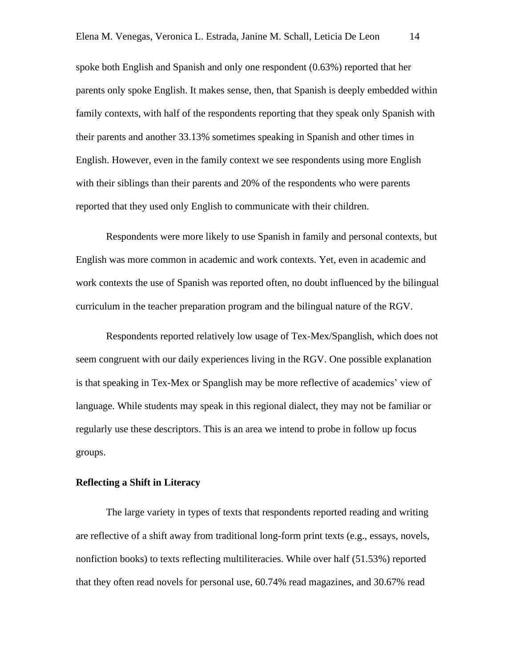spoke both English and Spanish and only one respondent (0.63%) reported that her parents only spoke English. It makes sense, then, that Spanish is deeply embedded within family contexts, with half of the respondents reporting that they speak only Spanish with their parents and another 33.13% sometimes speaking in Spanish and other times in English. However, even in the family context we see respondents using more English with their siblings than their parents and 20% of the respondents who were parents reported that they used only English to communicate with their children.

Respondents were more likely to use Spanish in family and personal contexts, but English was more common in academic and work contexts. Yet, even in academic and work contexts the use of Spanish was reported often, no doubt influenced by the bilingual curriculum in the teacher preparation program and the bilingual nature of the RGV.

Respondents reported relatively low usage of Tex-Mex/Spanglish, which does not seem congruent with our daily experiences living in the RGV. One possible explanation is that speaking in Tex-Mex or Spanglish may be more reflective of academics' view of language. While students may speak in this regional dialect, they may not be familiar or regularly use these descriptors. This is an area we intend to probe in follow up focus groups.

# **Reflecting a Shift in Literacy**

The large variety in types of texts that respondents reported reading and writing are reflective of a shift away from traditional long-form print texts (e.g., essays, novels, nonfiction books) to texts reflecting multiliteracies. While over half (51.53%) reported that they often read novels for personal use, 60.74% read magazines, and 30.67% read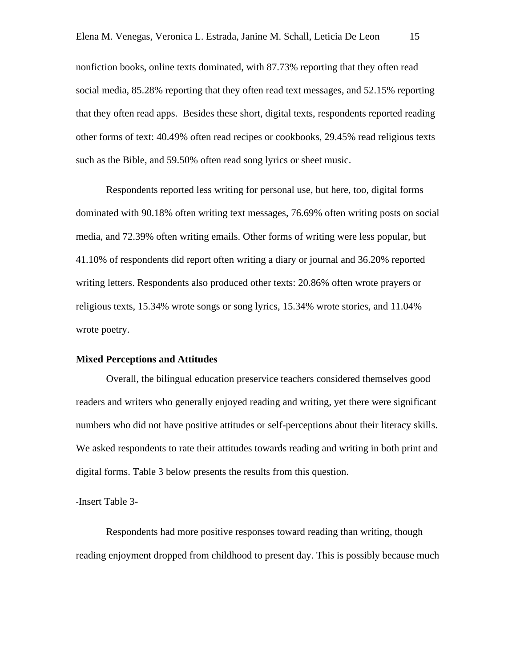nonfiction books, online texts dominated, with 87.73% reporting that they often read social media, 85.28% reporting that they often read text messages, and 52.15% reporting that they often read apps. Besides these short, digital texts, respondents reported reading other forms of text: 40.49% often read recipes or cookbooks, 29.45% read religious texts such as the Bible, and 59.50% often read song lyrics or sheet music.

Respondents reported less writing for personal use, but here, too, digital forms dominated with 90.18% often writing text messages, 76.69% often writing posts on social media, and 72.39% often writing emails. Other forms of writing were less popular, but 41.10% of respondents did report often writing a diary or journal and 36.20% reported writing letters. Respondents also produced other texts: 20.86% often wrote prayers or religious texts, 15.34% wrote songs or song lyrics, 15.34% wrote stories, and 11.04% wrote poetry.

# **Mixed Perceptions and Attitudes**

Overall, the bilingual education preservice teachers considered themselves good readers and writers who generally enjoyed reading and writing, yet there were significant numbers who did not have positive attitudes or self-perceptions about their literacy skills. We asked respondents to rate their attitudes towards reading and writing in both print and digital forms. Table 3 below presents the results from this question.

-Insert Table 3-

Respondents had more positive responses toward reading than writing, though reading enjoyment dropped from childhood to present day. This is possibly because much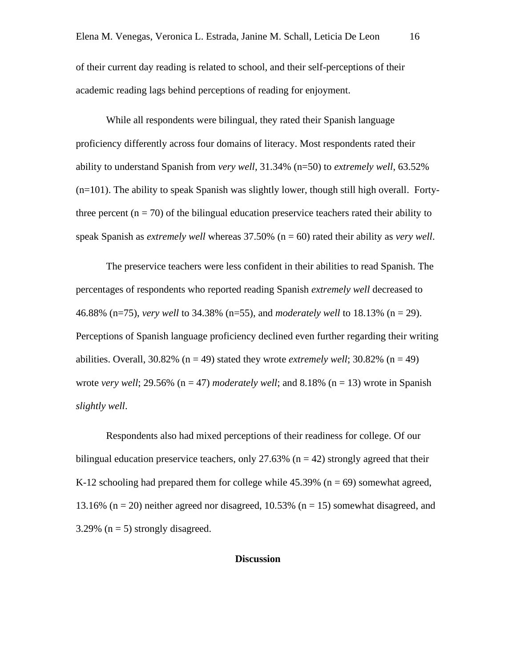of their current day reading is related to school, and their self-perceptions of their academic reading lags behind perceptions of reading for enjoyment.

While all respondents were bilingual, they rated their Spanish language proficiency differently across four domains of literacy. Most respondents rated their ability to understand Spanish from *very well*, 31.34% (n=50) to *extremely well*, 63.52% (n=101). The ability to speak Spanish was slightly lower, though still high overall. Fortythree percent  $(n = 70)$  of the bilingual education preservice teachers rated their ability to speak Spanish as *extremely well* whereas 37.50% (n = 60) rated their ability as *very well*.

The preservice teachers were less confident in their abilities to read Spanish. The percentages of respondents who reported reading Spanish *extremely well* decreased to 46.88% (n=75), *very well* to 34.38% (n=55), and *moderately well* to 18.13% (n = 29). Perceptions of Spanish language proficiency declined even further regarding their writing abilities. Overall,  $30.82\%$  (n = 49) stated they wrote *extremely well*;  $30.82\%$  (n = 49) wrote *very well*; 29.56% ( $n = 47$ ) *moderately well*; and 8.18% ( $n = 13$ ) wrote in Spanish *slightly well*.

Respondents also had mixed perceptions of their readiness for college. Of our bilingual education preservice teachers, only 27.63% ( $n = 42$ ) strongly agreed that their K-12 schooling had prepared them for college while  $45.39\%$  (n = 69) somewhat agreed, 13.16% ( $n = 20$ ) neither agreed nor disagreed, 10.53% ( $n = 15$ ) somewhat disagreed, and 3.29% ( $n = 5$ ) strongly disagreed.

#### **Discussion**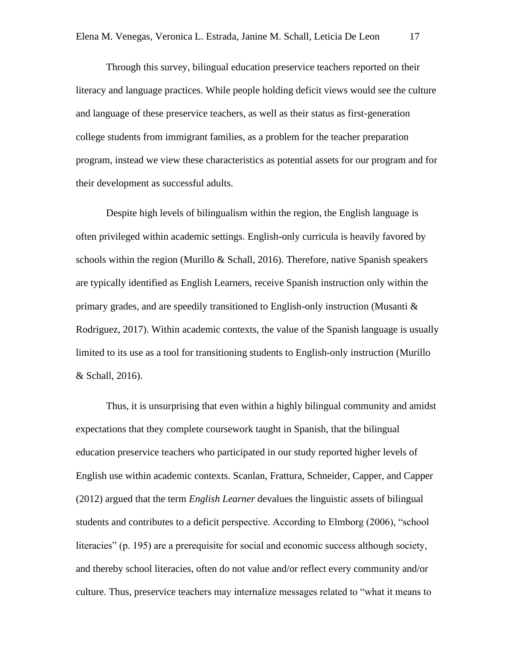Through this survey, bilingual education preservice teachers reported on their literacy and language practices. While people holding deficit views would see the culture and language of these preservice teachers, as well as their status as first-generation college students from immigrant families, as a problem for the teacher preparation program, instead we view these characteristics as potential assets for our program and for their development as successful adults.

Despite high levels of bilingualism within the region, the English language is often privileged within academic settings. English-only curricula is heavily favored by schools within the region (Murillo  $&$  Schall, 2016). Therefore, native Spanish speakers are typically identified as English Learners, receive Spanish instruction only within the primary grades, and are speedily transitioned to English-only instruction (Musanti  $\&$ Rodriguez, 2017). Within academic contexts, the value of the Spanish language is usually limited to its use as a tool for transitioning students to English-only instruction (Murillo & Schall, 2016).

Thus, it is unsurprising that even within a highly bilingual community and amidst expectations that they complete coursework taught in Spanish, that the bilingual education preservice teachers who participated in our study reported higher levels of English use within academic contexts. Scanlan, Frattura, Schneider, Capper, and Capper (2012) argued that the term *English Learner* devalues the linguistic assets of bilingual students and contributes to a deficit perspective. According to Elmborg (2006), "school literacies" (p. 195) are a prerequisite for social and economic success although society, and thereby school literacies, often do not value and/or reflect every community and/or culture. Thus, preservice teachers may internalize messages related to "what it means to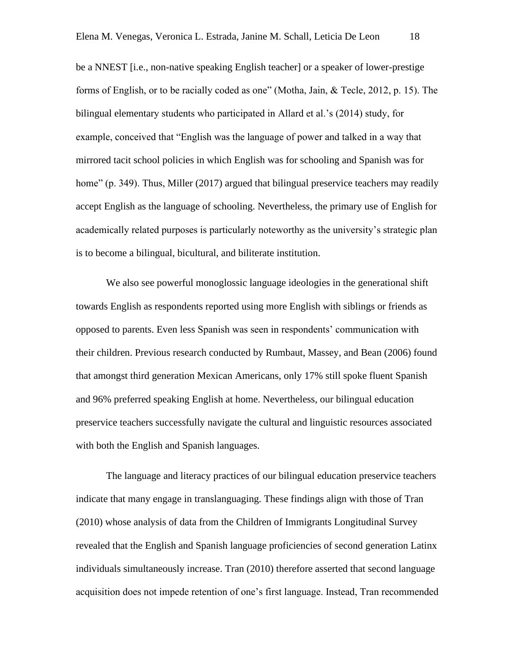be a NNEST [i.e., non-native speaking English teacher] or a speaker of lower-prestige forms of English, or to be racially coded as one" (Motha, Jain, & Tecle, 2012, p. 15). The bilingual elementary students who participated in Allard et al.'s (2014) study, for example, conceived that "English was the language of power and talked in a way that mirrored tacit school policies in which English was for schooling and Spanish was for home" (p. 349). Thus, Miller (2017) argued that bilingual preservice teachers may readily accept English as the language of schooling. Nevertheless, the primary use of English for academically related purposes is particularly noteworthy as the university's strategic plan is to become a bilingual, bicultural, and biliterate institution.

We also see powerful monoglossic language ideologies in the generational shift towards English as respondents reported using more English with siblings or friends as opposed to parents. Even less Spanish was seen in respondents' communication with their children. Previous research conducted by Rumbaut, Massey, and Bean (2006) found that amongst third generation Mexican Americans, only 17% still spoke fluent Spanish and 96% preferred speaking English at home. Nevertheless, our bilingual education preservice teachers successfully navigate the cultural and linguistic resources associated with both the English and Spanish languages.

The language and literacy practices of our bilingual education preservice teachers indicate that many engage in translanguaging*.* These findings align with those of Tran (2010) whose analysis of data from the Children of Immigrants Longitudinal Survey revealed that the English and Spanish language proficiencies of second generation Latinx individuals simultaneously increase. Tran (2010) therefore asserted that second language acquisition does not impede retention of one's first language. Instead, Tran recommended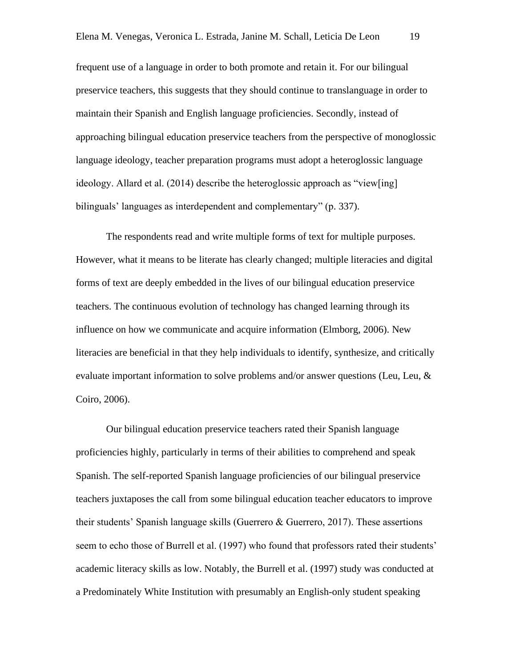frequent use of a language in order to both promote and retain it. For our bilingual preservice teachers, this suggests that they should continue to translanguage in order to maintain their Spanish and English language proficiencies. Secondly, instead of approaching bilingual education preservice teachers from the perspective of monoglossic language ideology, teacher preparation programs must adopt a heteroglossic language ideology. Allard et al. (2014) describe the heteroglossic approach as "view[ing] bilinguals' languages as interdependent and complementary" (p. 337).

The respondents read and write multiple forms of text for multiple purposes. However, what it means to be literate has clearly changed; multiple literacies and digital forms of text are deeply embedded in the lives of our bilingual education preservice teachers. The continuous evolution of technology has changed learning through its influence on how we communicate and acquire information (Elmborg, 2006). New literacies are beneficial in that they help individuals to identify, synthesize, and critically evaluate important information to solve problems and/or answer questions (Leu, Leu, & Coiro, 2006).

Our bilingual education preservice teachers rated their Spanish language proficiencies highly, particularly in terms of their abilities to comprehend and speak Spanish. The self-reported Spanish language proficiencies of our bilingual preservice teachers juxtaposes the call from some bilingual education teacher educators to improve their students' Spanish language skills (Guerrero & Guerrero, 2017). These assertions seem to echo those of Burrell et al. (1997) who found that professors rated their students' academic literacy skills as low. Notably, the Burrell et al. (1997) study was conducted at a Predominately White Institution with presumably an English-only student speaking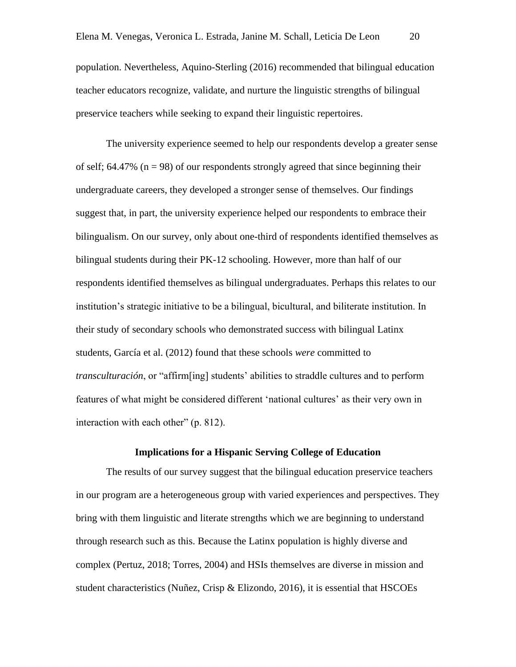population. Nevertheless, Aquino-Sterling (2016) recommended that bilingual education teacher educators recognize, validate, and nurture the linguistic strengths of bilingual preservice teachers while seeking to expand their linguistic repertoires.

The university experience seemed to help our respondents develop a greater sense of self;  $64.47\%$  ( $n = 98$ ) of our respondents strongly agreed that since beginning their undergraduate careers, they developed a stronger sense of themselves. Our findings suggest that, in part, the university experience helped our respondents to embrace their bilingualism. On our survey, only about one-third of respondents identified themselves as bilingual students during their PK-12 schooling. However, more than half of our respondents identified themselves as bilingual undergraduates. Perhaps this relates to our institution's strategic initiative to be a bilingual, bicultural, and biliterate institution. In their study of secondary schools who demonstrated success with bilingual Latinx students, García et al. (2012) found that these schools *were* committed to *transculturación*, or "affirm[ing] students' abilities to straddle cultures and to perform features of what might be considered different 'national cultures' as their very own in interaction with each other" (p. 812).

# **Implications for a Hispanic Serving College of Education**

The results of our survey suggest that the bilingual education preservice teachers in our program are a heterogeneous group with varied experiences and perspectives. They bring with them linguistic and literate strengths which we are beginning to understand through research such as this. Because the Latinx population is highly diverse and complex (Pertuz, 2018; Torres, 2004) and HSIs themselves are diverse in mission and student characteristics (Nuñez, Crisp & Elizondo, 2016), it is essential that HSCOEs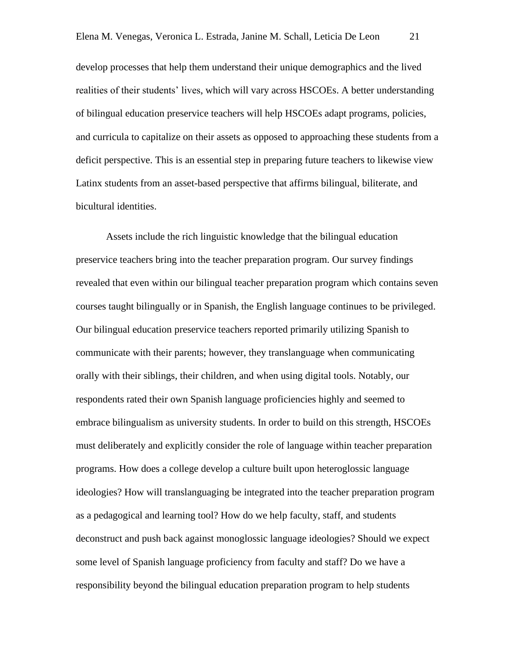develop processes that help them understand their unique demographics and the lived realities of their students' lives, which will vary across HSCOEs. A better understanding of bilingual education preservice teachers will help HSCOEs adapt programs, policies, and curricula to capitalize on their assets as opposed to approaching these students from a deficit perspective. This is an essential step in preparing future teachers to likewise view Latinx students from an asset-based perspective that affirms bilingual, biliterate, and bicultural identities.

Assets include the rich linguistic knowledge that the bilingual education preservice teachers bring into the teacher preparation program. Our survey findings revealed that even within our bilingual teacher preparation program which contains seven courses taught bilingually or in Spanish, the English language continues to be privileged. Our bilingual education preservice teachers reported primarily utilizing Spanish to communicate with their parents; however, they translanguage when communicating orally with their siblings, their children, and when using digital tools. Notably, our respondents rated their own Spanish language proficiencies highly and seemed to embrace bilingualism as university students. In order to build on this strength, HSCOEs must deliberately and explicitly consider the role of language within teacher preparation programs. How does a college develop a culture built upon heteroglossic language ideologies? How will translanguaging be integrated into the teacher preparation program as a pedagogical and learning tool? How do we help faculty, staff, and students deconstruct and push back against monoglossic language ideologies? Should we expect some level of Spanish language proficiency from faculty and staff? Do we have a responsibility beyond the bilingual education preparation program to help students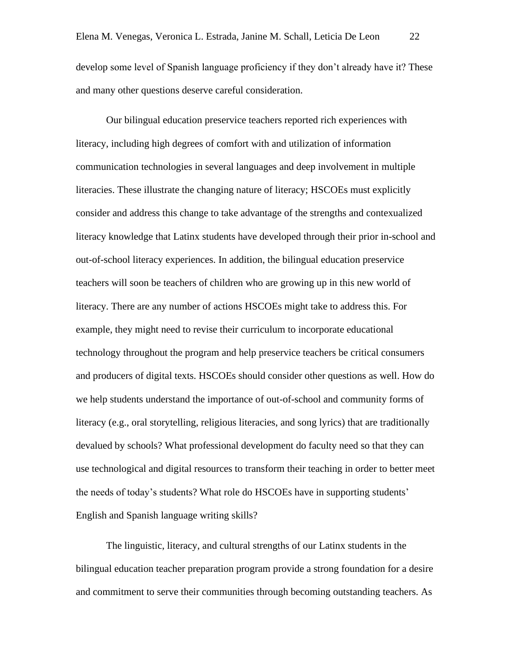develop some level of Spanish language proficiency if they don't already have it? These and many other questions deserve careful consideration.

Our bilingual education preservice teachers reported rich experiences with literacy, including high degrees of comfort with and utilization of information communication technologies in several languages and deep involvement in multiple literacies. These illustrate the changing nature of literacy; HSCOEs must explicitly consider and address this change to take advantage of the strengths and contexualized literacy knowledge that Latinx students have developed through their prior in-school and out-of-school literacy experiences. In addition, the bilingual education preservice teachers will soon be teachers of children who are growing up in this new world of literacy. There are any number of actions HSCOEs might take to address this. For example, they might need to revise their curriculum to incorporate educational technology throughout the program and help preservice teachers be critical consumers and producers of digital texts. HSCOEs should consider other questions as well. How do we help students understand the importance of out-of-school and community forms of literacy (e.g., oral storytelling, religious literacies, and song lyrics) that are traditionally devalued by schools? What professional development do faculty need so that they can use technological and digital resources to transform their teaching in order to better meet the needs of today's students? What role do HSCOEs have in supporting students' English and Spanish language writing skills?

The linguistic, literacy, and cultural strengths of our Latinx students in the bilingual education teacher preparation program provide a strong foundation for a desire and commitment to serve their communities through becoming outstanding teachers. As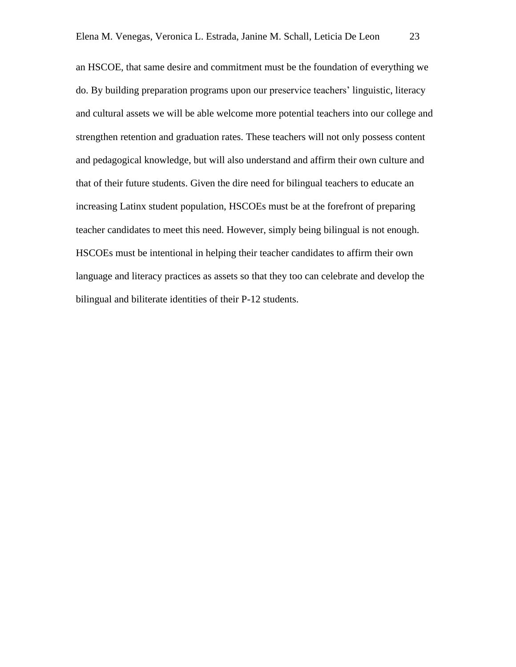an HSCOE, that same desire and commitment must be the foundation of everything we do. By building preparation programs upon our preservice teachers' linguistic, literacy and cultural assets we will be able welcome more potential teachers into our college and strengthen retention and graduation rates. These teachers will not only possess content and pedagogical knowledge, but will also understand and affirm their own culture and that of their future students. Given the dire need for bilingual teachers to educate an increasing Latinx student population, HSCOEs must be at the forefront of preparing teacher candidates to meet this need. However, simply being bilingual is not enough. HSCOEs must be intentional in helping their teacher candidates to affirm their own language and literacy practices as assets so that they too can celebrate and develop the bilingual and biliterate identities of their P-12 students.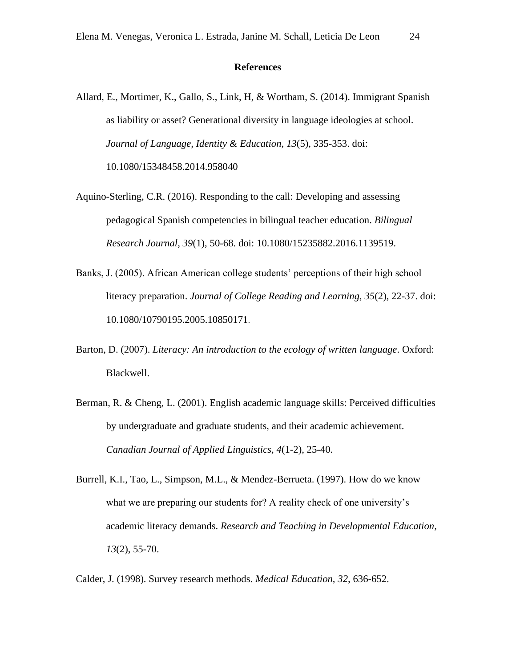#### **References**

- Allard, E., Mortimer, K., Gallo, S., Link, H, & Wortham, S. (2014). Immigrant Spanish as liability or asset? Generational diversity in language ideologies at school. *Journal of Language, Identity & Education, 13*(5), 335-353. doi: 10.1080/15348458.2014.958040
- Aquino-Sterling, C.R. (2016). Responding to the call: Developing and assessing pedagogical Spanish competencies in bilingual teacher education. *Bilingual Research Journal, 39*(1), 50-68. doi: 10.1080/15235882.2016.1139519.
- Banks, J. (2005). African American college students' perceptions of their high school literacy preparation. *Journal of College Reading and Learning, 35*(2), 22-37. doi: 10.1080/10790195.2005.10850171.
- Barton, D. (2007). *Literacy: An introduction to the ecology of written language*. Oxford: Blackwell.
- Berman, R. & Cheng, L. (2001). English academic language skills: Perceived difficulties by undergraduate and graduate students, and their academic achievement. *Canadian Journal of Applied Linguistics, 4*(1-2), 25-40.
- Burrell, K.I., Tao, L., Simpson, M.L., & Mendez-Berrueta. (1997). How do we know what we are preparing our students for? A reality check of one university's academic literacy demands. *Research and Teaching in Developmental Education, 13*(2), 55-70.

Calder, J. (1998). Survey research methods. *Medical Education, 32,* 636-652.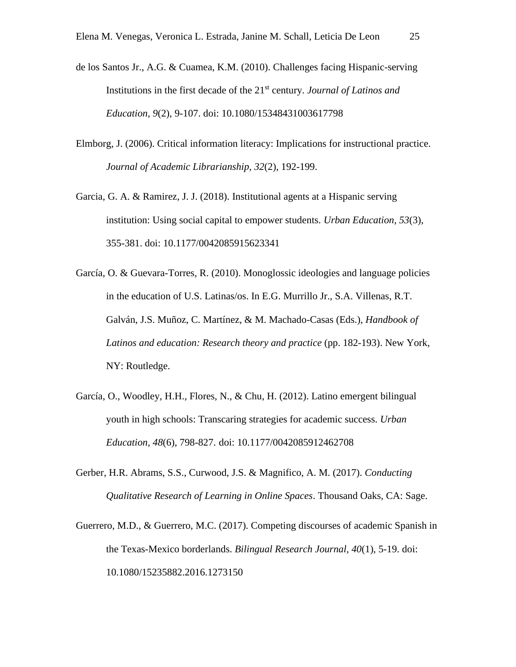- de los Santos Jr., A.G. & Cuamea, K.M. (2010). Challenges facing Hispanic-serving Institutions in the first decade of the 21st century. *Journal of Latinos and Education, 9*(2), 9-107. doi: 10.1080/15348431003617798
- Elmborg, J. (2006). Critical information literacy: Implications for instructional practice. *Journal of Academic Librarianship, 32*(2), 192-199.
- Garcia, G. A. & Ramirez, J. J. (2018). Institutional agents at a Hispanic serving institution: Using social capital to empower students. *Urban Education, 53*(3), 355-381. doi: 10.1177/0042085915623341
- García, O. & Guevara-Torres, R. (2010). Monoglossic ideologies and language policies in the education of U.S. Latinas/os. In E.G. Murrillo Jr., S.A. Villenas, R.T. Galván, J.S. Muñoz, C. Martínez, & M. Machado-Casas (Eds.), *Handbook of Latinos and education: Research theory and practice* (pp. 182-193). New York, NY: Routledge.
- García, O., Woodley, H.H., Flores, N., & Chu, H. (2012). Latino emergent bilingual youth in high schools: Transcaring strategies for academic success. *Urban Education, 48*(6), 798-827. doi: 10.1177/0042085912462708
- Gerber, H.R. Abrams, S.S., Curwood, J.S. & Magnifico, A. M. (2017). *Conducting Qualitative Research of Learning in Online Spaces*. Thousand Oaks, CA: Sage.
- Guerrero, M.D., & Guerrero, M.C. (2017). Competing discourses of academic Spanish in the Texas-Mexico borderlands. *Bilingual Research Journal, 40*(1), 5-19. doi: 10.1080/15235882.2016.1273150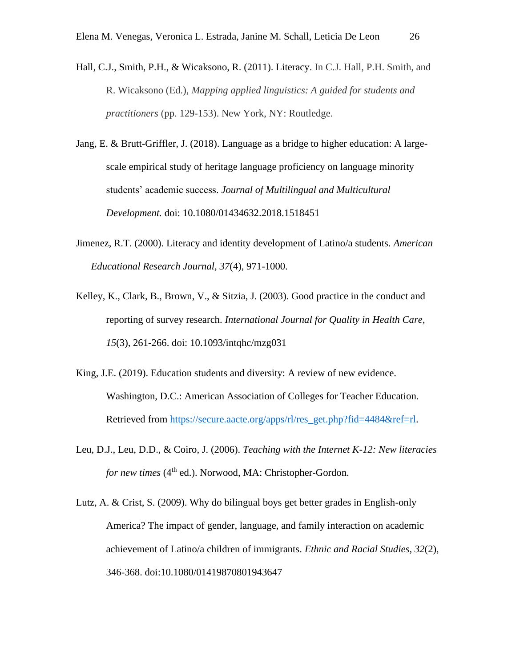- Hall, C.J., Smith, P.H., & Wicaksono, R. (2011). Literacy. In C.J. Hall, P.H. Smith, and R. Wicaksono (Ed.), *Mapping applied linguistics: A guided for students and practitioners* (pp. 129-153). New York, NY: Routledge.
- Jang, E. & Brutt-Griffler, J. (2018). Language as a bridge to higher education: A largescale empirical study of heritage language proficiency on language minority students' academic success. *Journal of Multilingual and Multicultural Development.* doi: 10.1080/01434632.2018.1518451
- Jimenez, R.T. (2000). Literacy and identity development of Latino/a students. *American Educational Research Journal, 37*(4), 971-1000.
- Kelley, K., Clark, B., Brown, V., & Sitzia, J. (2003). Good practice in the conduct and reporting of survey research. *International Journal for Quality in Health Care, 15*(3), 261-266. doi: 10.1093/intqhc/mzg031
- King, J.E. (2019). Education students and diversity: A review of new evidence. Washington, D.C.: American Association of Colleges for Teacher Education. Retrieved from [https://secure.aacte.org/apps/rl/res\\_get.php?fid=4484&ref=rl.](https://secure.aacte.org/apps/rl/res_get.php?fid=4484&ref=rl)
- Leu, D.J., Leu, D.D., & Coiro, J. (2006). *Teaching with the Internet K-12: New literacies for new times* (4<sup>th</sup> ed.). Norwood, MA: Christopher-Gordon.
- Lutz, A. & Crist, S. (2009). Why do bilingual boys get better grades in English-only America? The impact of gender, language, and family interaction on academic achievement of Latino/a children of immigrants. *Ethnic and Racial Studies, 32*(2), 346-368. doi:10.1080/01419870801943647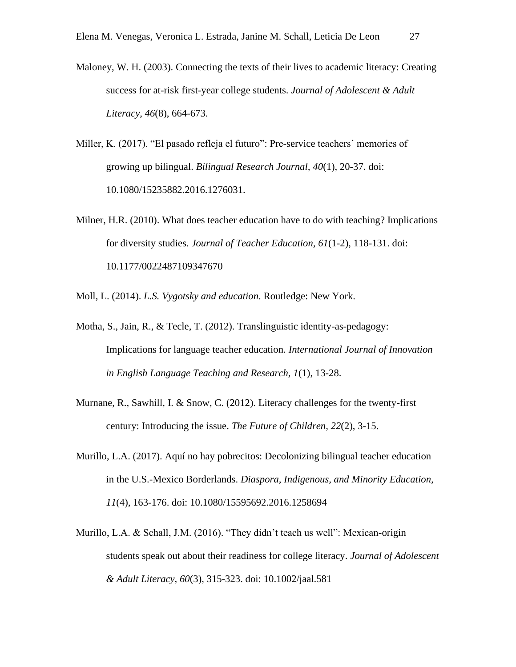- Maloney, W. H. (2003). Connecting the texts of their lives to academic literacy: Creating success for at-risk first-year college students. *Journal of Adolescent & Adult Literacy, 46*(8), 664-673.
- Miller, K. (2017). "El pasado refleja el futuro": Pre-service teachers' memories of growing up bilingual. *Bilingual Research Journal, 40*(1), 20-37. doi: 10.1080/15235882.2016.1276031.
- Milner, H.R. (2010). What does teacher education have to do with teaching? Implications for diversity studies. *Journal of Teacher Education, 61*(1-2), 118-131. doi: 10.1177/0022487109347670
- Moll, L. (2014). *L.S. Vygotsky and education*. Routledge: New York.
- Motha, S., Jain, R., & Tecle, T. (2012). Translinguistic identity-as-pedagogy: Implications for language teacher education. *International Journal of Innovation in English Language Teaching and Research, 1*(1), 13-28.
- Murnane, R., Sawhill, I. & Snow, C. (2012). Literacy challenges for the twenty-first century: Introducing the issue. *The Future of Children, 22*(2), 3-15.
- Murillo, L.A. (2017). Aquí no hay pobrecitos: Decolonizing bilingual teacher education in the U.S.-Mexico Borderlands. *Diaspora, Indigenous, and Minority Education, 11*(4), 163-176. doi: 10.1080/15595692.2016.1258694
- Murillo, L.A. & Schall, J.M. (2016). "They didn't teach us well": Mexican-origin students speak out about their readiness for college literacy. *Journal of Adolescent & Adult Literacy, 60*(3), 315-323. doi: 10.1002/jaal.581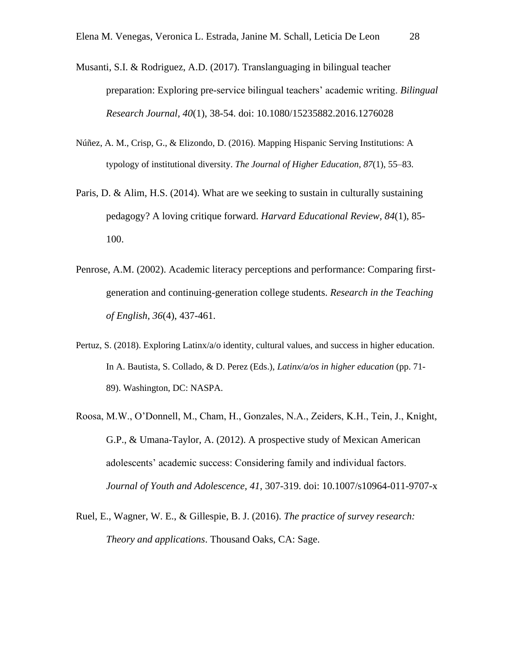- Musanti, S.I. & Rodriguez, A.D. (2017). Translanguaging in bilingual teacher preparation: Exploring pre-service bilingual teachers' academic writing. *Bilingual Research Journal, 40*(1), 38-54. doi: 10.1080/15235882.2016.1276028
- Núñez, A. M., Crisp, G., & Elizondo, D. (2016). Mapping Hispanic Serving Institutions: A typology of institutional diversity. *The Journal of Higher Education, 87*(1), 55–83.
- Paris, D. & Alim, H.S. (2014). What are we seeking to sustain in culturally sustaining pedagogy? A loving critique forward. *Harvard Educational Review, 84*(1), 85- 100.
- Penrose, A.M. (2002). Academic literacy perceptions and performance: Comparing firstgeneration and continuing-generation college students. *Research in the Teaching of English, 36*(4), 437-461.
- Pertuz, S. (2018). Exploring Latinx/a/o identity, cultural values, and success in higher education. In A. Bautista, S. Collado, & D. Perez (Eds.), *Latinx/a/os in higher education* (pp. 71- 89). Washington, DC: NASPA.
- Roosa, M.W., O'Donnell, M., Cham, H., Gonzales, N.A., Zeiders, K.H., Tein, J., Knight, G.P., & Umana-Taylor, A. (2012). A prospective study of Mexican American adolescents' academic success: Considering family and individual factors. *Journal of Youth and Adolescence, 41*, 307-319. doi: 10.1007/s10964-011-9707-x
- Ruel, E., Wagner, W. E., & Gillespie, B. J. (2016). *The practice of survey research: Theory and applications*. Thousand Oaks, CA: Sage.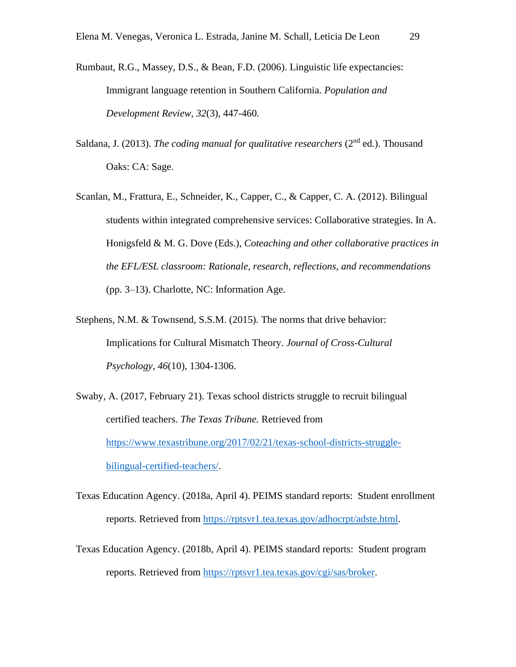- Rumbaut, R.G., Massey, D.S., & Bean, F.D. (2006). Linguistic life expectancies: Immigrant language retention in Southern California. *Population and Development Review, 32*(3), 447-460.
- Saldana, J. (2013). *The coding manual for qualitative researchers* (2<sup>nd</sup> ed.). Thousand Oaks: CA: Sage.
- Scanlan, M., Frattura, E., Schneider, K., Capper, C., & Capper, C. A. (2012). Bilingual students within integrated comprehensive services: Collaborative strategies. In A. Honigsfeld & M. G. Dove (Eds.), *Coteaching and other collaborative practices in the EFL/ESL classroom: Rationale, research, reflections, and recommendations* (pp. 3–13). Charlotte, NC: Information Age.
- Stephens, N.M. & Townsend, S.S.M. (2015). The norms that drive behavior: Implications for Cultural Mismatch Theory. *Journal of Cross-Cultural Psychology, 46*(10), 1304-1306.
- Swaby, A. (2017, February 21). Texas school districts struggle to recruit bilingual certified teachers. *The Texas Tribune.* Retrieved from [https://www.texastribune.org/2017/02/21/texas-school-districts-struggle](https://www.texastribune.org/2017/02/21/texas-school-districts-struggle-bilingual-certified-teachers/)[bilingual-certified-teachers/.](https://www.texastribune.org/2017/02/21/texas-school-districts-struggle-bilingual-certified-teachers/)
- Texas Education Agency. (2018a, April 4). PEIMS standard reports: Student enrollment reports. Retrieved from [https://rptsvr1.tea.texas.gov/adhocrpt/adste.html.](https://rptsvr1.tea.texas.gov/adhocrpt/adste.html)
- Texas Education Agency. (2018b, April 4). PEIMS standard reports: Student program reports. Retrieved from [https://rptsvr1.tea.texas.gov/cgi/sas/broker.](https://rptsvr1.tea.texas.gov/cgi/sas/broker)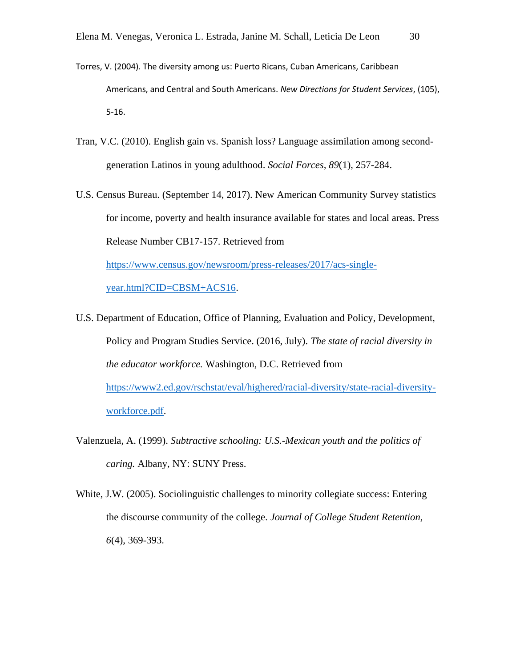- Torres, V. (2004). The diversity among us: Puerto Ricans, Cuban Americans, Caribbean Americans, and Central and South Americans. *New Directions for Student Services*, (105), 5-16.
- Tran, V.C. (2010). English gain vs. Spanish loss? Language assimilation among secondgeneration Latinos in young adulthood. *Social Forces, 89*(1), 257-284.
- U.S. Census Bureau. (September 14, 2017). New American Community Survey statistics for income, poverty and health insurance available for states and local areas. Press Release Number CB17-157. Retrieved from

[https://www.census.gov/newsroom/press-releases/2017/acs-single](https://www.census.gov/newsroom/press-releases/2017/acs-single-year.html?CID=CBSM+ACS16)[year.html?CID=CBSM+ACS16.](https://www.census.gov/newsroom/press-releases/2017/acs-single-year.html?CID=CBSM+ACS16)

- U.S. Department of Education, Office of Planning, Evaluation and Policy, Development, Policy and Program Studies Service. (2016, July). *The state of racial diversity in the educator workforce.* Washington, D.C. Retrieved from [https://www2.ed.gov/rschstat/eval/highered/racial-diversity/state-racial-diversity](https://www2.ed.gov/rschstat/eval/highered/racial-diversity/state-racial-diversity-workforce.pdf)[workforce.pdf.](https://www2.ed.gov/rschstat/eval/highered/racial-diversity/state-racial-diversity-workforce.pdf)
- Valenzuela, A. (1999). *Subtractive schooling: U.S.-Mexican youth and the politics of caring.* Albany, NY: SUNY Press.
- White, J.W. (2005). Sociolinguistic challenges to minority collegiate success: Entering the discourse community of the college. *Journal of College Student Retention, 6*(4), 369-393.